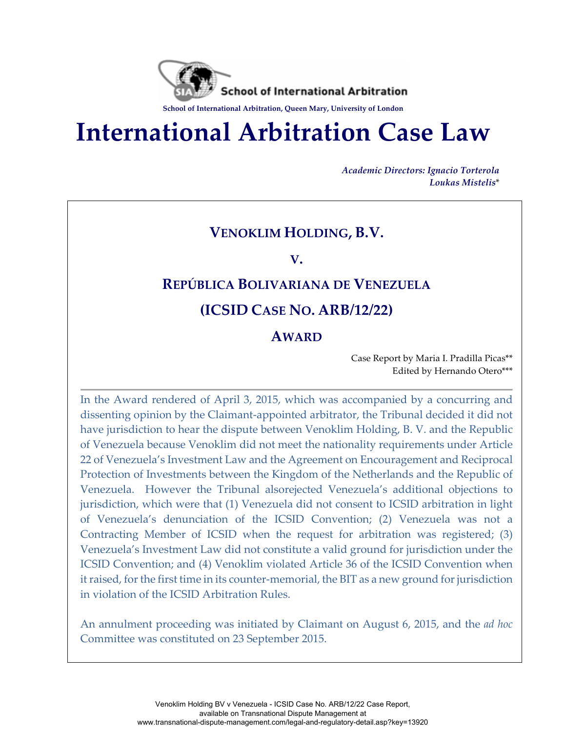

# **International Arbitration Case Law**

*Academic Directors: Ignacio Torterola Loukas Mistelis*\*

# **VENOKLIM HOLDING, B.V.**

**V.** 

# **REPÚBLICA BOLIVARIANA DE VENEZUELA**

### **(ICSID CASE NO. ARB/12/22)**

#### **AWARD**

Case Report by Maria I. Pradilla Picas\*\* Edited by Hernando Otero\*\*\*

In the Award rendered of April 3, 2015, which was accompanied by a concurring and dissenting opinion by the Claimant-appointed arbitrator, the Tribunal decided it did not have jurisdiction to hear the dispute between Venoklim Holding, B. V. and the Republic of Venezuela because Venoklim did not meet the nationality requirements under Article 22 of Venezuela's Investment Law and the Agreement on Encouragement and Reciprocal Protection of Investments between the Kingdom of the Netherlands and the Republic of Venezuela. However the Tribunal alsorejected Venezuela's additional objections to jurisdiction, which were that (1) Venezuela did not consent to ICSID arbitration in light of Venezuela's denunciation of the ICSID Convention; (2) Venezuela was not a Contracting Member of ICSID when the request for arbitration was registered; (3) Venezuela's Investment Law did not constitute a valid ground for jurisdiction under the ICSID Convention; and (4) Venoklim violated Article 36 of the ICSID Convention when it raised, for the first time in its counter-memorial, the BIT as a new ground for jurisdiction in violation of the ICSID Arbitration Rules.

An annulment proceeding was initiated by Claimant on August 6, 2015, and the *ad hoc*  Committee was constituted on 23 September 2015.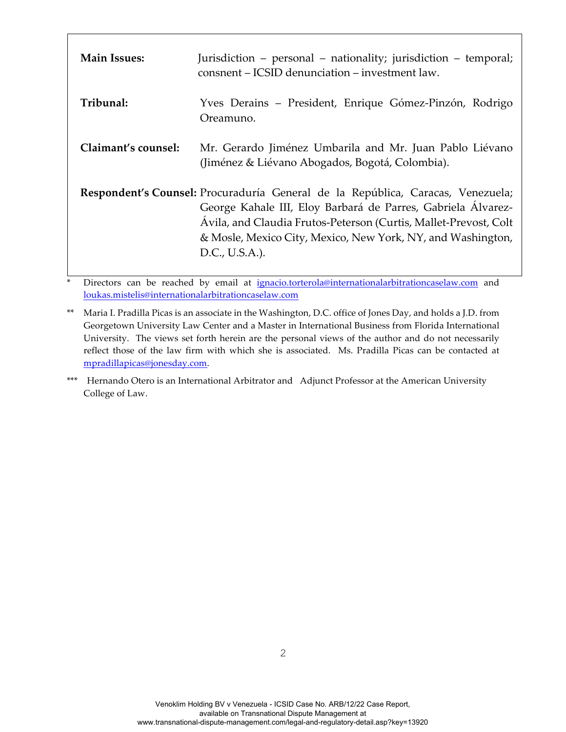| <b>Main Issues:</b> | Jurisdiction – personal – nationality; jurisdiction – temporal;<br>consnent – ICSID denunciation – investment law.                                                                                                                                                                                   |
|---------------------|------------------------------------------------------------------------------------------------------------------------------------------------------------------------------------------------------------------------------------------------------------------------------------------------------|
| Tribunal:           | Yves Derains – President, Enrique Gómez-Pinzón, Rodrigo<br>Oreamuno.                                                                                                                                                                                                                                 |
| Claimant's counsel: | Mr. Gerardo Jiménez Umbarila and Mr. Juan Pablo Liévano<br>(Jiménez & Liévano Abogados, Bogotá, Colombia).                                                                                                                                                                                           |
|                     | Respondent's Counsel: Procuraduría General de la República, Caracas, Venezuela;<br>George Kahale III, Eloy Barbará de Parres, Gabriela Álvarez-<br>Ávila, and Claudia Frutos-Peterson (Curtis, Mallet-Prevost, Colt<br>& Mosle, Mexico City, Mexico, New York, NY, and Washington,<br>D.C., U.S.A.). |

Directors can be reached by email at ignacio.torterola@internationalarbitrationcaselaw.com and loukas.mistelis@internationalarbitrationcaselaw.com

<sup>\*\*</sup> Maria I. Pradilla Picas is an associate in the Washington, D.C. office of Jones Day, and holds a J.D. from Georgetown University Law Center and a Master in International Business from Florida International University. The views set forth herein are the personal views of the author and do not necessarily reflect those of the law firm with which she is associated. Ms. Pradilla Picas can be contacted at mpradillapicas@jonesday.com.

<sup>\*\*\*</sup> Hernando Otero is an International Arbitrator and Adjunct Professor at the American University College of Law.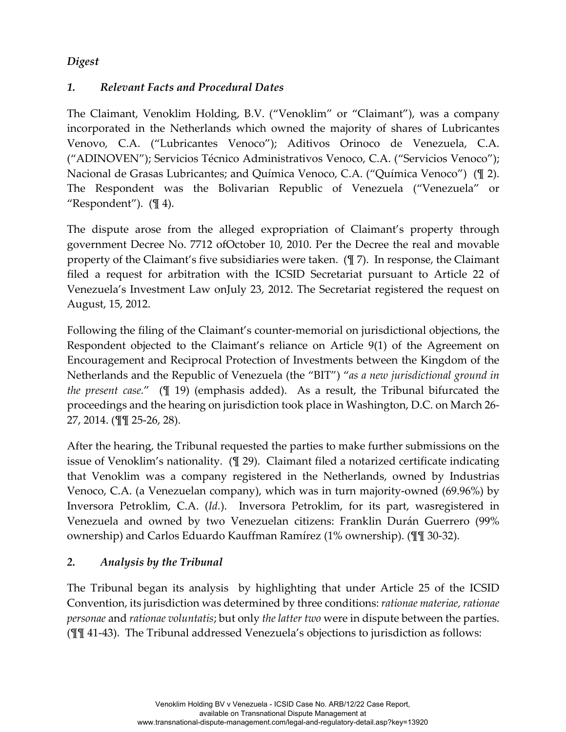#### *Digest*

#### *1. Relevant Facts and Procedural Dates*

The Claimant, Venoklim Holding, B.V. ("Venoklim" or "Claimant"), was a company incorporated in the Netherlands which owned the majority of shares of Lubricantes Venovo, C.A. ("Lubricantes Venoco"); Aditivos Orinoco de Venezuela, C.A. ("ADINOVEN"); Servicios Técnico Administrativos Venoco, C.A. ("Servicios Venoco"); Nacional de Grasas Lubricantes; and Química Venoco, C.A. ("Química Venoco") (¶ 2). The Respondent was the Bolivarian Republic of Venezuela ("Venezuela" or "Respondent").  $(\mathbb{I} 4)$ .

The dispute arose from the alleged expropriation of Claimant's property through government Decree No. 7712 ofOctober 10, 2010. Per the Decree the real and movable property of the Claimant's five subsidiaries were taken. (¶ 7). In response, the Claimant filed a request for arbitration with the ICSID Secretariat pursuant to Article 22 of Venezuela's Investment Law onJuly 23, 2012. The Secretariat registered the request on August, 15, 2012.

Following the filing of the Claimant's counter-memorial on jurisdictional objections, the Respondent objected to the Claimant's reliance on Article 9(1) of the Agreement on Encouragement and Reciprocal Protection of Investments between the Kingdom of the Netherlands and the Republic of Venezuela (the "BIT") "*as a new jurisdictional ground in the present case.*" (¶ 19) (emphasis added). As a result, the Tribunal bifurcated the proceedings and the hearing on jurisdiction took place in Washington, D.C. on March 26- 27, 2014. (¶¶ 25-26, 28).

After the hearing, the Tribunal requested the parties to make further submissions on the issue of Venoklim's nationality. (¶ 29). Claimant filed a notarized certificate indicating that Venoklim was a company registered in the Netherlands, owned by Industrias Venoco, C.A. (a Venezuelan company), which was in turn majority-owned (69.96%) by Inversora Petroklim, C.A. (*Id.*). Inversora Petroklim, for its part, wasregistered in Venezuela and owned by two Venezuelan citizens: Franklin Durán Guerrero (99% ownership) and Carlos Eduardo Kauffman Ramírez (1% ownership). (¶¶ 30-32).

#### *2. Analysis by the Tribunal*

The Tribunal began its analysis by highlighting that under Article 25 of the ICSID Convention, its jurisdiction was determined by three conditions: *rationae materiae, rationae personae* and *rationae voluntatis*; but only *the latter two* were in dispute between the parties. (¶¶ 41-43). The Tribunal addressed Venezuela's objections to jurisdiction as follows: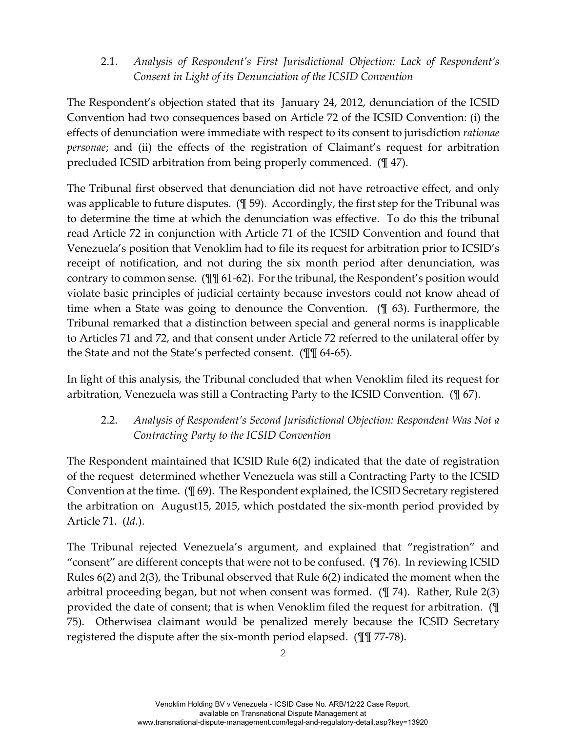2.1. *Analysis of Respondent's First Jurisdictional Objection: Lack of Respondent's Consent in Light of its Denunciation of the ICSID Convention*

The Respondent's objection stated that its January 24, 2012, denunciation of the ICSID Convention had two consequences based on Article 72 of the ICSID Convention: (i) the effects of denunciation were immediate with respect to its consent to jurisdiction *rationae personae*; and (ii) the effects of the registration of Claimant's request for arbitration precluded ICSID arbitration from being properly commenced. (¶ 47).

The Tribunal first observed that denunciation did not have retroactive effect, and only was applicable to future disputes. (¶ 59). Accordingly, the first step for the Tribunal was to determine the time at which the denunciation was effective. To do this the tribunal read Article 72 in conjunction with Article 71 of the ICSID Convention and found that Venezuela's position that Venoklim had to file its request for arbitration prior to ICSID's receipt of notification, and not during the six month period after denunciation, was contrary to common sense. (¶¶ 61-62). For the tribunal, the Respondent's position would violate basic principles of judicial certainty because investors could not know ahead of time when a State was going to denounce the Convention. (¶ 63). Furthermore, the Tribunal remarked that a distinction between special and general norms is inapplicable to Articles 71 and 72, and that consent under Article 72 referred to the unilateral offer by the State and not the State's perfected consent. (¶¶ 64-65).

In light of this analysis, the Tribunal concluded that when Venoklim filed its request for arbitration, Venezuela was still a Contracting Party to the ICSID Convention. (¶ 67).

2.2. *Analysis of Respondent's Second Jurisdictional Objection: Respondent Was Not a Contracting Party to the ICSID Convention*

The Respondent maintained that ICSID Rule 6(2) indicated that the date of registration of the request determined whether Venezuela was still a Contracting Party to the ICSID Convention at the time. (¶ 69). The Respondent explained, the ICSID Secretary registered the arbitration on August15, 2015, which postdated the six-month period provided by Article 71. (*Id.*).

The Tribunal rejected Venezuela's argument, and explained that "registration" and "consent" are different concepts that were not to be confused.  $(\frac{1}{2}76)$ . In reviewing ICSID Rules 6(2) and 2(3), the Tribunal observed that Rule 6(2) indicated the moment when the arbitral proceeding began, but not when consent was formed. (¶ 74). Rather, Rule 2(3) provided the date of consent; that is when Venoklim filed the request for arbitration. (¶ 75). Otherwisea claimant would be penalized merely because the ICSID Secretary registered the dispute after the six-month period elapsed. (¶¶ 77-78).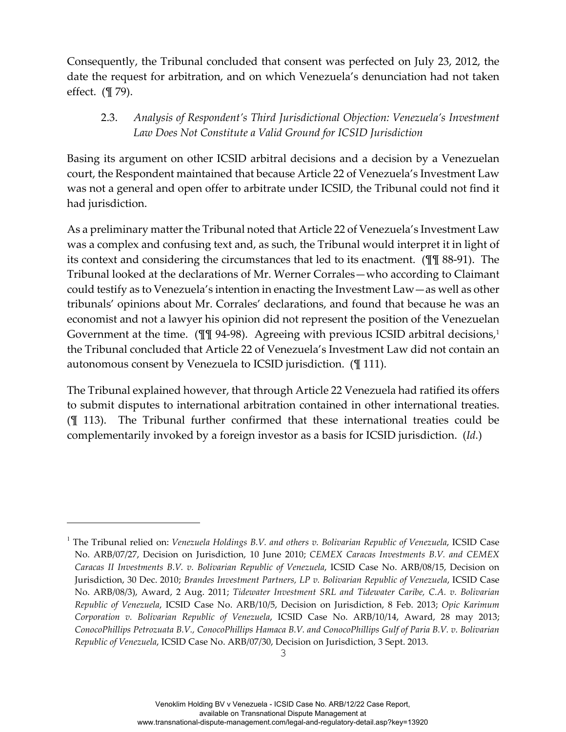Consequently, the Tribunal concluded that consent was perfected on July 23, 2012, the date the request for arbitration, and on which Venezuela's denunciation had not taken effect. (¶ 79).

#### 2.3. *Analysis of Respondent's Third Jurisdictional Objection: Venezuela's Investment Law Does Not Constitute a Valid Ground for ICSID Jurisdiction*

Basing its argument on other ICSID arbitral decisions and a decision by a Venezuelan court, the Respondent maintained that because Article 22 of Venezuela's Investment Law was not a general and open offer to arbitrate under ICSID, the Tribunal could not find it had jurisdiction.

As a preliminary matter the Tribunal noted that Article 22 of Venezuela's Investment Law was a complex and confusing text and, as such, the Tribunal would interpret it in light of its context and considering the circumstances that led to its enactment. (¶¶ 88-91). The Tribunal looked at the declarations of Mr. Werner Corrales—who according to Claimant could testify as to Venezuela's intention in enacting the Investment Law—as well as other tribunals' opinions about Mr. Corrales' declarations, and found that because he was an economist and not a lawyer his opinion did not represent the position of the Venezuelan Government at the time. (III 94-98). Agreeing with previous ICSID arbitral decisions,<sup>1</sup> the Tribunal concluded that Article 22 of Venezuela's Investment Law did not contain an autonomous consent by Venezuela to ICSID jurisdiction. (¶ 111).

The Tribunal explained however, that through Article 22 Venezuela had ratified its offers to submit disputes to international arbitration contained in other international treaties. (¶ 113). The Tribunal further confirmed that these international treaties could be complementarily invoked by a foreign investor as a basis for ICSID jurisdiction. (*Id.*)

i<br>Li

<sup>1</sup> The Tribunal relied on: *Venezuela Holdings B.V. and others v. Bolivarian Republic of Venezuela*, ICSID Case No. ARB/07/27, Decision on Jurisdiction, 10 June 2010; *CEMEX Caracas Investments B.V. and CEMEX Caracas II Investments B.V. v. Bolivarian Republic of Venezuela*, ICSID Case No. ARB/08/15, Decision on Jurisdiction, 30 Dec. 2010; *Brandes Investment Partners, LP v. Bolivarian Republic of Venezuela*, ICSID Case No. ARB/08/3), Award, 2 Aug. 2011; *Tidewater Investment SRL and Tidewater Caribe, C.A. v. Bolivarian Republic of Venezuela*, ICSID Case No. ARB/10/5, Decision on Jurisdiction, 8 Feb. 2013; *Opic Karimum Corporation v. Bolivarian Republic of Venezuela*, ICSID Case No. ARB/10/14, Award, 28 may 2013; *ConocoPhillips Petrozuata B.V., ConocoPhillips Hamaca B.V. and ConocoPhillips Gulf of Paria B.V. v. Bolivarian Republic of Venezuela*, ICSID Case No. ARB/07/30, Decision on Jurisdiction, 3 Sept. 2013.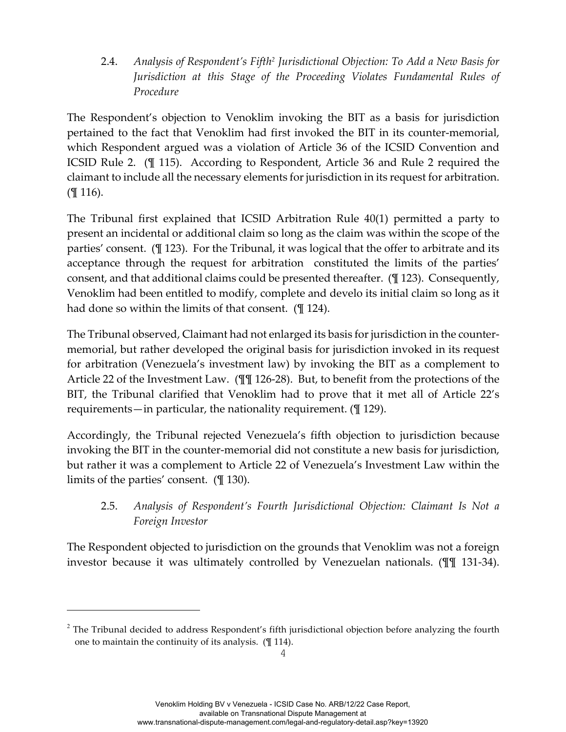2.4. *Analysis of Respondent's Fifth2 Jurisdictional Objection: To Add a New Basis for Jurisdiction at this Stage of the Proceeding Violates Fundamental Rules of Procedure*

The Respondent's objection to Venoklim invoking the BIT as a basis for jurisdiction pertained to the fact that Venoklim had first invoked the BIT in its counter-memorial, which Respondent argued was a violation of Article 36 of the ICSID Convention and ICSID Rule 2. (¶ 115). According to Respondent, Article 36 and Rule 2 required the claimant to include all the necessary elements for jurisdiction in its request for arbitration. (¶ 116).

The Tribunal first explained that ICSID Arbitration Rule 40(1) permitted a party to present an incidental or additional claim so long as the claim was within the scope of the parties' consent. (¶ 123). For the Tribunal, it was logical that the offer to arbitrate and its acceptance through the request for arbitration constituted the limits of the parties' consent, and that additional claims could be presented thereafter. (¶ 123). Consequently, Venoklim had been entitled to modify, complete and develo its initial claim so long as it had done so within the limits of that consent. (¶ 124).

The Tribunal observed, Claimant had not enlarged its basis for jurisdiction in the countermemorial, but rather developed the original basis for jurisdiction invoked in its request for arbitration (Venezuela's investment law) by invoking the BIT as a complement to Article 22 of the Investment Law. (¶¶ 126-28). But, to benefit from the protections of the BIT, the Tribunal clarified that Venoklim had to prove that it met all of Article 22's requirements—in particular, the nationality requirement. (¶ 129).

Accordingly, the Tribunal rejected Venezuela's fifth objection to jurisdiction because invoking the BIT in the counter-memorial did not constitute a new basis for jurisdiction, but rather it was a complement to Article 22 of Venezuela's Investment Law within the limits of the parties' consent. (¶ 130).

2.5. *Analysis of Respondent's Fourth Jurisdictional Objection: Claimant Is Not a Foreign Investor*

The Respondent objected to jurisdiction on the grounds that Venoklim was not a foreign investor because it was ultimately controlled by Venezuelan nationals. (¶¶ 131-34).

i<br>Li

 $2$  The Tribunal decided to address Respondent's fifth jurisdictional objection before analyzing the fourth one to maintain the continuity of its analysis. (¶ 114).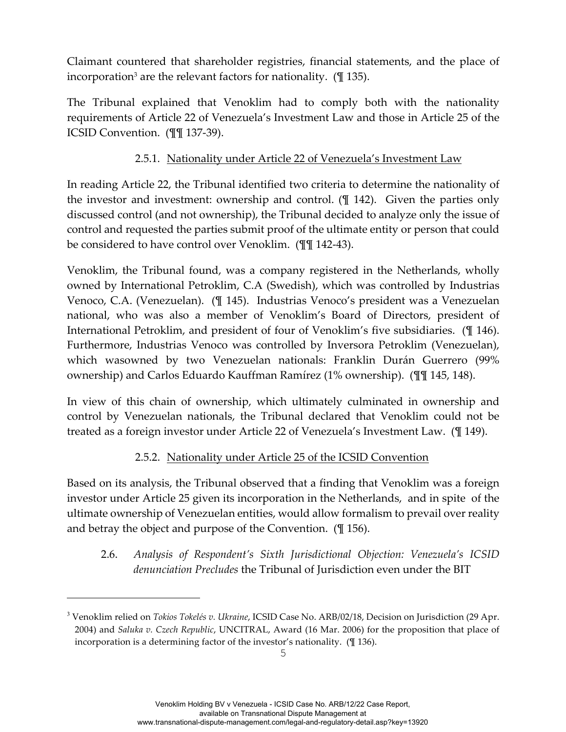Claimant countered that shareholder registries, financial statements, and the place of incorporation<sup>3</sup> are the relevant factors for nationality.  $(\mathbb{I} 135)$ .

The Tribunal explained that Venoklim had to comply both with the nationality requirements of Article 22 of Venezuela's Investment Law and those in Article 25 of the ICSID Convention. (¶¶ 137-39).

#### 2.5.1. Nationality under Article 22 of Venezuela's Investment Law

In reading Article 22, the Tribunal identified two criteria to determine the nationality of the investor and investment: ownership and control. (¶ 142). Given the parties only discussed control (and not ownership), the Tribunal decided to analyze only the issue of control and requested the parties submit proof of the ultimate entity or person that could be considered to have control over Venoklim. (¶¶ 142-43).

Venoklim, the Tribunal found, was a company registered in the Netherlands, wholly owned by International Petroklim, C.A (Swedish), which was controlled by Industrias Venoco, C.A. (Venezuelan). (¶ 145). Industrias Venoco's president was a Venezuelan national, who was also a member of Venoklim's Board of Directors, president of International Petroklim, and president of four of Venoklim's five subsidiaries. (¶ 146). Furthermore, Industrias Venoco was controlled by Inversora Petroklim (Venezuelan), which wasowned by two Venezuelan nationals: Franklin Durán Guerrero (99% ownership) and Carlos Eduardo Kauffman Ramírez (1% ownership). (¶¶ 145, 148).

In view of this chain of ownership, which ultimately culminated in ownership and control by Venezuelan nationals, the Tribunal declared that Venoklim could not be treated as a foreign investor under Article 22 of Venezuela's Investment Law. (¶ 149).

#### 2.5.2. Nationality under Article 25 of the ICSID Convention

Based on its analysis, the Tribunal observed that a finding that Venoklim was a foreign investor under Article 25 given its incorporation in the Netherlands, and in spite of the ultimate ownership of Venezuelan entities, would allow formalism to prevail over reality and betray the object and purpose of the Convention. (¶ 156).

2.6. *Analysis of Respondent's Sixth Jurisdictional Objection: Venezuela's ICSID denunciation Precludes* the Tribunal of Jurisdiction even under the BIT

i<br>Li

<sup>3</sup> Venoklim relied on *Tokios Tokelés v. Ukraine*, ICSID Case No. ARB/02/18, Decision on Jurisdiction (29 Apr. 2004) and *Saluka v. Czech Republic*, UNCITRAL, Award (16 Mar. 2006) for the proposition that place of incorporation is a determining factor of the investor's nationality. (¶ 136).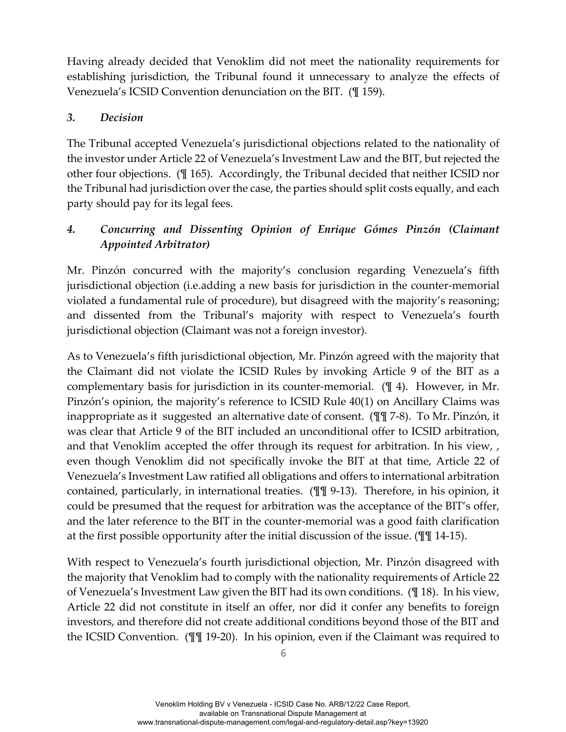Having already decided that Venoklim did not meet the nationality requirements for establishing jurisdiction, the Tribunal found it unnecessary to analyze the effects of Venezuela's ICSID Convention denunciation on the BIT. (¶ 159).

#### *3. Decision*

The Tribunal accepted Venezuela's jurisdictional objections related to the nationality of the investor under Article 22 of Venezuela's Investment Law and the BIT, but rejected the other four objections. (¶ 165). Accordingly, the Tribunal decided that neither ICSID nor the Tribunal had jurisdiction over the case, the parties should split costs equally, and each party should pay for its legal fees.

## *4. Concurring and Dissenting Opinion of Enrique Gómes Pinzón (Claimant Appointed Arbitrator)*

Mr. Pinzón concurred with the majority's conclusion regarding Venezuela's fifth jurisdictional objection (i.e.adding a new basis for jurisdiction in the counter-memorial violated a fundamental rule of procedure), but disagreed with the majority's reasoning; and dissented from the Tribunal's majority with respect to Venezuela's fourth jurisdictional objection (Claimant was not a foreign investor).

As to Venezuela's fifth jurisdictional objection, Mr. Pinzón agreed with the majority that the Claimant did not violate the ICSID Rules by invoking Article 9 of the BIT as a complementary basis for jurisdiction in its counter-memorial. (¶ 4). However, in Mr. Pinzón's opinion, the majority's reference to ICSID Rule 40(1) on Ancillary Claims was inappropriate as it suggested an alternative date of consent. (¶¶ 7-8). To Mr. Pinzón, it was clear that Article 9 of the BIT included an unconditional offer to ICSID arbitration, and that Venoklim accepted the offer through its request for arbitration. In his view, , even though Venoklim did not specifically invoke the BIT at that time, Article 22 of Venezuela's Investment Law ratified all obligations and offers to international arbitration contained, particularly, in international treaties. (¶¶ 9-13). Therefore, in his opinion, it could be presumed that the request for arbitration was the acceptance of the BIT's offer, and the later reference to the BIT in the counter-memorial was a good faith clarification at the first possible opportunity after the initial discussion of the issue. (¶¶ 14-15).

With respect to Venezuela's fourth jurisdictional objection, Mr. Pinzón disagreed with the majority that Venoklim had to comply with the nationality requirements of Article 22 of Venezuela's Investment Law given the BIT had its own conditions. (¶ 18). In his view, Article 22 did not constitute in itself an offer, nor did it confer any benefits to foreign investors, and therefore did not create additional conditions beyond those of the BIT and the ICSID Convention. (¶¶ 19-20). In his opinion, even if the Claimant was required to